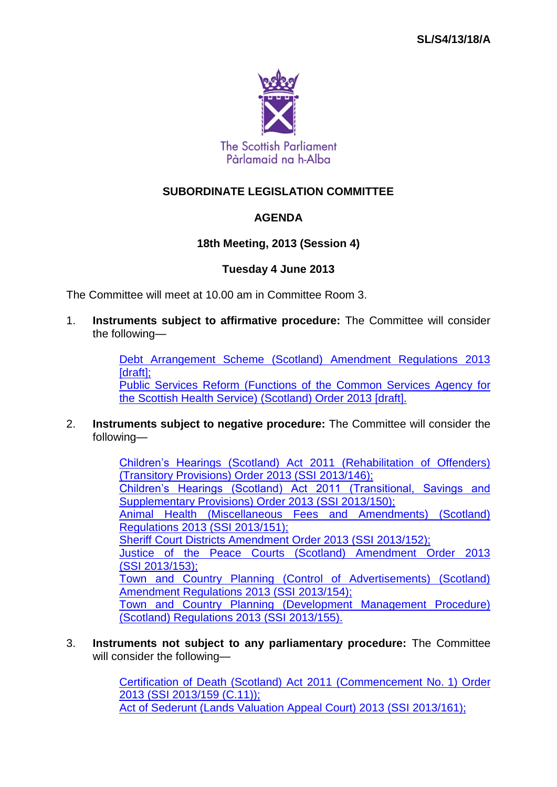

# **SUBORDINATE LEGISLATION COMMITTEE**

# **AGENDA**

# **18th Meeting, 2013 (Session 4)**

# **Tuesday 4 June 2013**

The Committee will meet at 10.00 am in Committee Room 3.

1. **Instruments subject to affirmative procedure:** The Committee will consider the following—

> [Debt Arrangement Scheme \(Scotland\) Amendment Regulations 2013](http://www.legislation.gov.uk/sdsi/2013/9780111020593)  [draft]: [Public Services Reform \(Functions of the Common Services Agency for](http://www.legislation.gov.uk/sdsi/2013/9780111020623)  [the Scottish Health Service\) \(Scotland\) Order 2013 \[draft\].](http://www.legislation.gov.uk/sdsi/2013/9780111020623)

2. **Instruments subject to negative procedure:** The Committee will consider the following—

> [Children's Hearings \(Scotland\) Act 2011 \(Rehabilitation of Offenders\)](http://www.legislation.gov.uk/ssi/2013/146/contents/made)  [\(Transitory Provisions\) Order 2013 \(SSI](http://www.legislation.gov.uk/ssi/2013/146/contents/made) 2013/146); [Children's Hearings \(Scotland\) Act 2011 \(Transitional, Savings and](http://www.legislation.gov.uk/ssi/2013/150/contents/made)  [Supplementary Provisions\) Order 2013 \(SSI](http://www.legislation.gov.uk/ssi/2013/150/contents/made) 2013/150); [Animal Health \(Miscellaneous Fees and Amendments\) \(Scotland\)](http://www.legislation.gov.uk/ssi/2013/151/contents/made)  [Regulations 2013 \(SSI](http://www.legislation.gov.uk/ssi/2013/151/contents/made) 2013/151); [Sheriff Court Districts Amendment Order 2013 \(SSI](http://www.legislation.gov.uk/ssi/2013/152/contents/made) 2013/152); [Justice of the Peace Courts \(Scotland\) Amendment Order 2013](http://www.legislation.gov.uk/ssi/2013/153/contents/made)  (SSI [2013/153\);](http://www.legislation.gov.uk/ssi/2013/153/contents/made) [Town and Country Planning \(Control of Advertisements\) \(Scotland\)](http://www.legislation.gov.uk/ssi/2013/154/contents/made)  [Amendment Regulations 2013 \(SSI](http://www.legislation.gov.uk/ssi/2013/154/contents/made) 2013/154); [Town and Country Planning \(Development Management Procedure\)](http://www.legislation.gov.uk/ssi/2013/155/contents/made)  [\(Scotland\) Regulations 2013 \(SSI](http://www.legislation.gov.uk/ssi/2013/155/contents/made) 2013/155).

3. **Instruments not subject to any parliamentary procedure:** The Committee will consider the following—

> [Certification of Death \(Scotland\) Act 2011 \(Commencement No.](http://www.legislation.gov.uk/ssi/2013/159/contents/made) 1) Order 2013 (SSI [2013/159 \(C.11\)\);](http://www.legislation.gov.uk/ssi/2013/159/contents/made) Act [of Sederunt \(Lands Valuation Appeal Court\) 2013 \(SSI](http://www.legislation.gov.uk/ssi/2013/161/contents/made) 2013/161);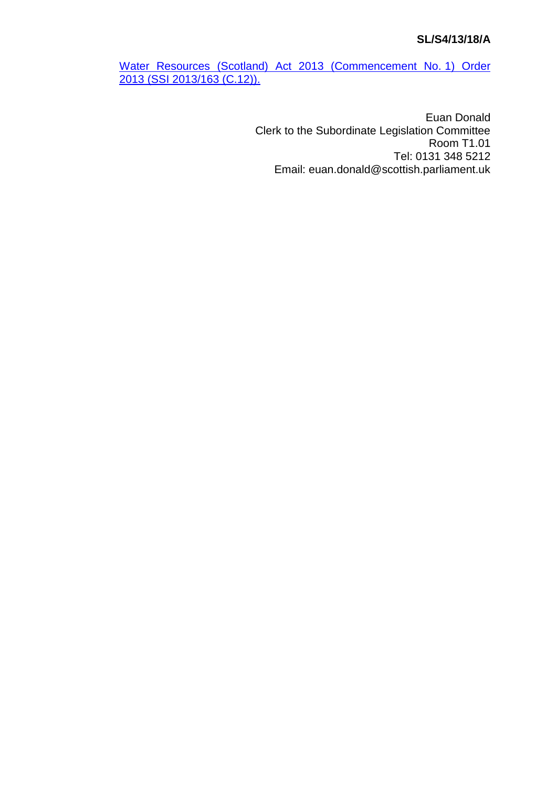# **SL/S4/13/18/A**

[Water Resources \(Scotland\) Act 2013 \(Commencement No.](http://www.legislation.gov.uk/ssi/2013/163/contents/made) 1) Order 2013 (SSI [2013/163 \(C.12\)\).](http://www.legislation.gov.uk/ssi/2013/163/contents/made)

> Euan Donald Clerk to the Subordinate Legislation Committee Room T1.01 Tel: 0131 348 5212 Email: euan.donald@scottish.parliament.uk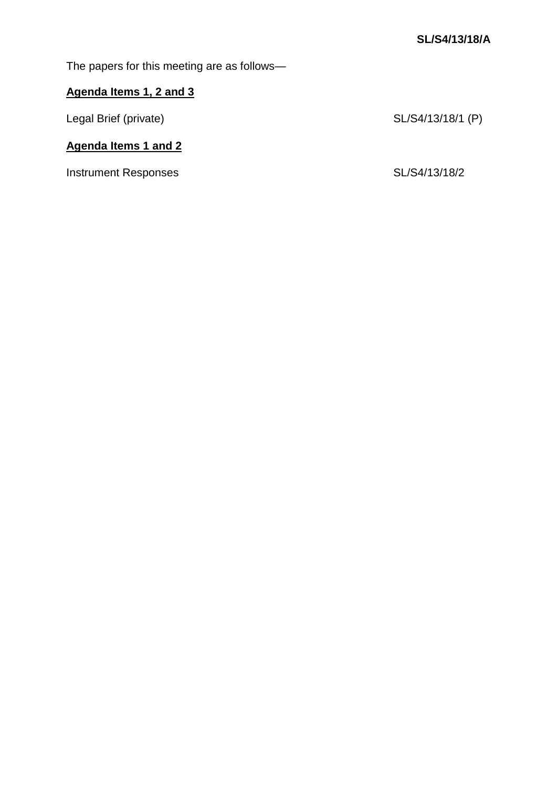The papers for this meeting are as follows—

# **Agenda Items 1, 2 and 3**

Legal Brief (private) SL/S4/13/18/1 (P)

# **Agenda Items 1 and 2**

Instrument Responses SL/S4/13/18/2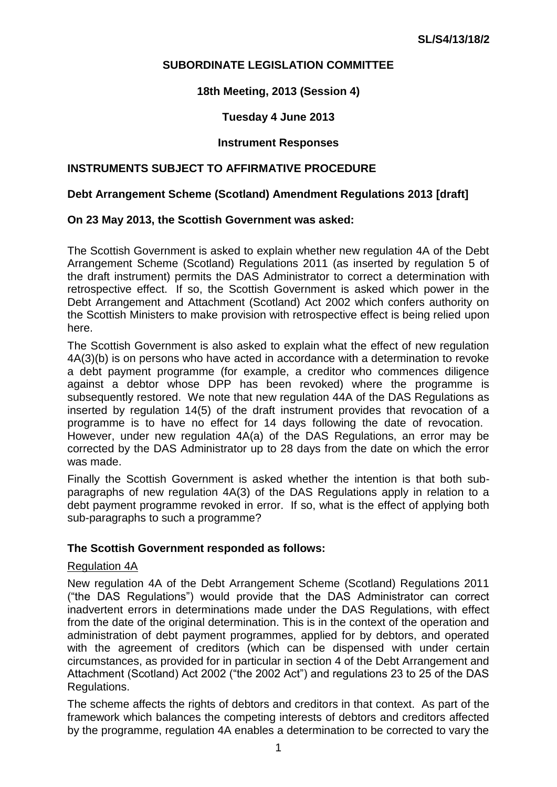# **SUBORDINATE LEGISLATION COMMITTEE**

## **18th Meeting, 2013 (Session 4)**

## **Tuesday 4 June 2013**

#### **Instrument Responses**

#### **INSTRUMENTS SUBJECT TO AFFIRMATIVE PROCEDURE**

#### **Debt Arrangement Scheme (Scotland) Amendment Regulations 2013 [draft]**

#### **On 23 May 2013, the Scottish Government was asked:**

The Scottish Government is asked to explain whether new regulation 4A of the Debt Arrangement Scheme (Scotland) Regulations 2011 (as inserted by regulation 5 of the draft instrument) permits the DAS Administrator to correct a determination with retrospective effect. If so, the Scottish Government is asked which power in the Debt Arrangement and Attachment (Scotland) Act 2002 which confers authority on the Scottish Ministers to make provision with retrospective effect is being relied upon here.

The Scottish Government is also asked to explain what the effect of new regulation 4A(3)(b) is on persons who have acted in accordance with a determination to revoke a debt payment programme (for example, a creditor who commences diligence against a debtor whose DPP has been revoked) where the programme is subsequently restored. We note that new regulation 44A of the DAS Regulations as inserted by regulation 14(5) of the draft instrument provides that revocation of a programme is to have no effect for 14 days following the date of revocation. However, under new regulation 4A(a) of the DAS Regulations, an error may be corrected by the DAS Administrator up to 28 days from the date on which the error was made.

Finally the Scottish Government is asked whether the intention is that both subparagraphs of new regulation 4A(3) of the DAS Regulations apply in relation to a debt payment programme revoked in error. If so, what is the effect of applying both sub-paragraphs to such a programme?

#### **The Scottish Government responded as follows:**

#### Regulation 4A

New regulation 4A of the Debt Arrangement Scheme (Scotland) Regulations 2011 ("the DAS Regulations") would provide that the DAS Administrator can correct inadvertent errors in determinations made under the DAS Regulations, with effect from the date of the original determination. This is in the context of the operation and administration of debt payment programmes, applied for by debtors, and operated with the agreement of creditors (which can be dispensed with under certain circumstances, as provided for in particular in section 4 of the Debt Arrangement and Attachment (Scotland) Act 2002 ("the 2002 Act") and regulations 23 to 25 of the DAS Regulations.

The scheme affects the rights of debtors and creditors in that context. As part of the framework which balances the competing interests of debtors and creditors affected by the programme, regulation 4A enables a determination to be corrected to vary the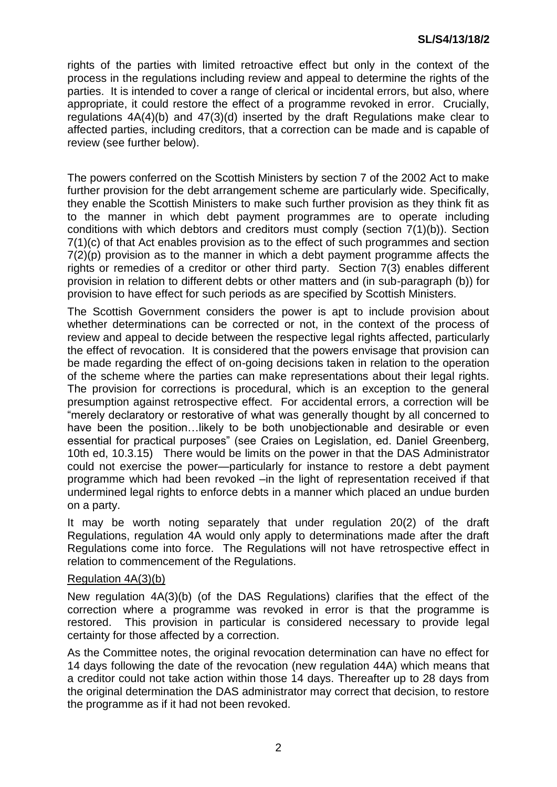rights of the parties with limited retroactive effect but only in the context of the process in the regulations including review and appeal to determine the rights of the parties. It is intended to cover a range of clerical or incidental errors, but also, where appropriate, it could restore the effect of a programme revoked in error. Crucially, regulations 4A(4)(b) and 47(3)(d) inserted by the draft Regulations make clear to affected parties, including creditors, that a correction can be made and is capable of review (see further below).

The powers conferred on the Scottish Ministers by section 7 of the 2002 Act to make further provision for the debt arrangement scheme are particularly wide. Specifically, they enable the Scottish Ministers to make such further provision as they think fit as to the manner in which debt payment programmes are to operate including conditions with which debtors and creditors must comply (section 7(1)(b)). Section 7(1)(c) of that Act enables provision as to the effect of such programmes and section 7(2)(p) provision as to the manner in which a debt payment programme affects the rights or remedies of a creditor or other third party. Section 7(3) enables different provision in relation to different debts or other matters and (in sub-paragraph (b)) for provision to have effect for such periods as are specified by Scottish Ministers.

The Scottish Government considers the power is apt to include provision about whether determinations can be corrected or not, in the context of the process of review and appeal to decide between the respective legal rights affected, particularly the effect of revocation. It is considered that the powers envisage that provision can be made regarding the effect of on-going decisions taken in relation to the operation of the scheme where the parties can make representations about their legal rights. The provision for corrections is procedural, which is an exception to the general presumption against retrospective effect. For accidental errors, a correction will be "merely declaratory or restorative of what was generally thought by all concerned to have been the position…likely to be both unobjectionable and desirable or even essential for practical purposes" (see Craies on Legislation, ed. Daniel Greenberg, 10th ed, 10.3.15) There would be limits on the power in that the DAS Administrator could not exercise the power—particularly for instance to restore a debt payment programme which had been revoked –in the light of representation received if that undermined legal rights to enforce debts in a manner which placed an undue burden on a party.

It may be worth noting separately that under regulation 20(2) of the draft Regulations, regulation 4A would only apply to determinations made after the draft Regulations come into force. The Regulations will not have retrospective effect in relation to commencement of the Regulations.

#### Regulation 4A(3)(b)

New regulation 4A(3)(b) (of the DAS Regulations) clarifies that the effect of the correction where a programme was revoked in error is that the programme is restored. This provision in particular is considered necessary to provide legal certainty for those affected by a correction.

As the Committee notes, the original revocation determination can have no effect for 14 days following the date of the revocation (new regulation 44A) which means that a creditor could not take action within those 14 days. Thereafter up to 28 days from the original determination the DAS administrator may correct that decision, to restore the programme as if it had not been revoked.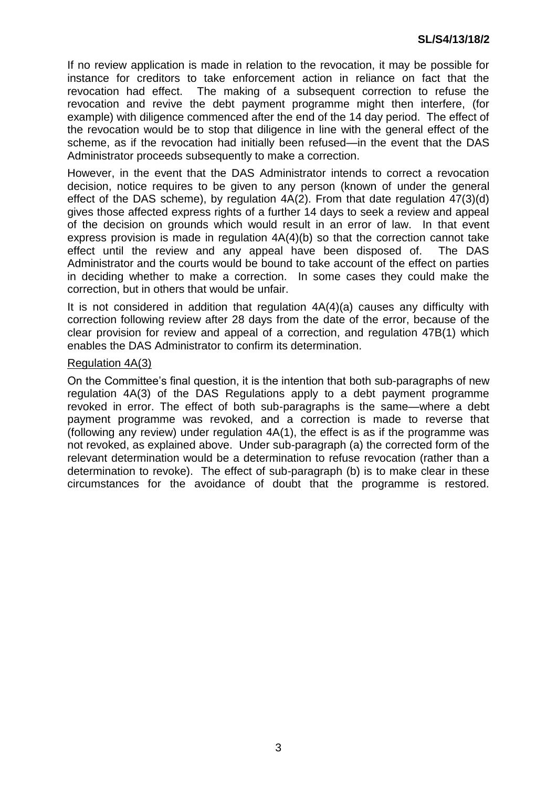If no review application is made in relation to the revocation, it may be possible for instance for creditors to take enforcement action in reliance on fact that the revocation had effect. The making of a subsequent correction to refuse the revocation and revive the debt payment programme might then interfere, (for example) with diligence commenced after the end of the 14 day period. The effect of the revocation would be to stop that diligence in line with the general effect of the scheme, as if the revocation had initially been refused—in the event that the DAS Administrator proceeds subsequently to make a correction.

However, in the event that the DAS Administrator intends to correct a revocation decision, notice requires to be given to any person (known of under the general effect of the DAS scheme), by regulation 4A(2). From that date regulation 47(3)(d) gives those affected express rights of a further 14 days to seek a review and appeal of the decision on grounds which would result in an error of law. In that event express provision is made in regulation 4A(4)(b) so that the correction cannot take effect until the review and any appeal have been disposed of. The DAS Administrator and the courts would be bound to take account of the effect on parties in deciding whether to make a correction. In some cases they could make the correction, but in others that would be unfair.

It is not considered in addition that regulation 4A(4)(a) causes any difficulty with correction following review after 28 days from the date of the error, because of the clear provision for review and appeal of a correction, and regulation 47B(1) which enables the DAS Administrator to confirm its determination.

#### Regulation 4A(3)

On the Committee's final question, it is the intention that both sub-paragraphs of new regulation 4A(3) of the DAS Regulations apply to a debt payment programme revoked in error. The effect of both sub-paragraphs is the same—where a debt payment programme was revoked, and a correction is made to reverse that (following any review) under regulation 4A(1), the effect is as if the programme was not revoked, as explained above. Under sub-paragraph (a) the corrected form of the relevant determination would be a determination to refuse revocation (rather than a determination to revoke). The effect of sub-paragraph (b) is to make clear in these circumstances for the avoidance of doubt that the programme is restored.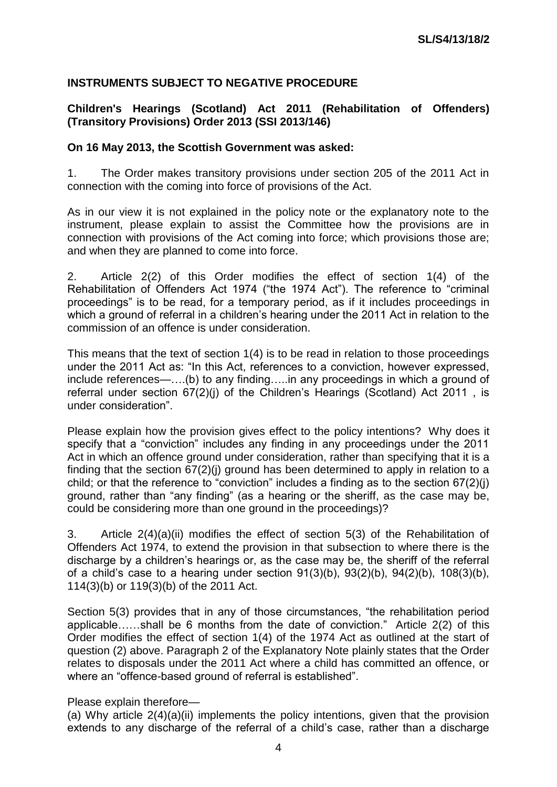# **INSTRUMENTS SUBJECT TO NEGATIVE PROCEDURE**

## **Children's Hearings (Scotland) Act 2011 (Rehabilitation of Offenders) (Transitory Provisions) Order 2013 (SSI 2013/146)**

#### **On 16 May 2013, the Scottish Government was asked:**

1. The Order makes transitory provisions under section 205 of the 2011 Act in connection with the coming into force of provisions of the Act.

As in our view it is not explained in the policy note or the explanatory note to the instrument, please explain to assist the Committee how the provisions are in connection with provisions of the Act coming into force; which provisions those are; and when they are planned to come into force.

2. Article 2(2) of this Order modifies the effect of section 1(4) of the Rehabilitation of Offenders Act 1974 ("the 1974 Act"). The reference to "criminal proceedings" is to be read, for a temporary period, as if it includes proceedings in which a ground of referral in a children's hearing under the 2011 Act in relation to the commission of an offence is under consideration.

This means that the text of section 1(4) is to be read in relation to those proceedings under the 2011 Act as: "In this Act, references to a conviction, however expressed, include references—….(b) to any finding…..in any proceedings in which a ground of referral under section 67(2)(j) of the Children's Hearings (Scotland) Act 2011 , is under consideration".

Please explain how the provision gives effect to the policy intentions? Why does it specify that a "conviction" includes any finding in any proceedings under the 2011 Act in which an offence ground under consideration, rather than specifying that it is a finding that the section  $67(2)$ (i) ground has been determined to apply in relation to a child; or that the reference to "conviction" includes a finding as to the section 67(2)(j) ground, rather than "any finding" (as a hearing or the sheriff, as the case may be, could be considering more than one ground in the proceedings)?

3. Article 2(4)(a)(ii) modifies the effect of section 5(3) of the Rehabilitation of Offenders Act 1974, to extend the provision in that subsection to where there is the discharge by a children's hearings or, as the case may be, the sheriff of the referral of a child's case to a hearing under section 91(3)(b), 93(2)(b), 94(2)(b), 108(3)(b), 114(3)(b) or 119(3)(b) of the 2011 Act.

Section 5(3) provides that in any of those circumstances, "the rehabilitation period applicable……shall be 6 months from the date of conviction." Article 2(2) of this Order modifies the effect of section 1(4) of the 1974 Act as outlined at the start of question (2) above. Paragraph 2 of the Explanatory Note plainly states that the Order relates to disposals under the 2011 Act where a child has committed an offence, or where an "offence-based ground of referral is established".

## Please explain therefore—

(a) Why article 2(4)(a)(ii) implements the policy intentions, given that the provision extends to any discharge of the referral of a child's case, rather than a discharge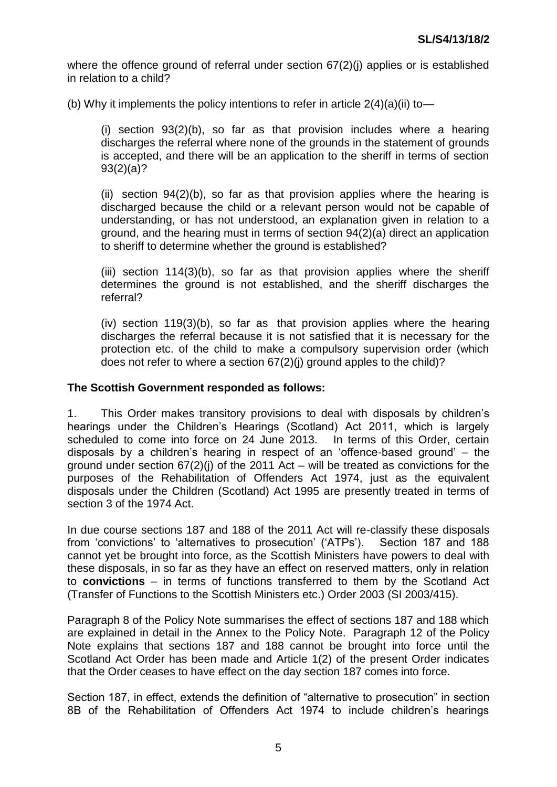where the offence ground of referral under section 67(2)(j) applies or is established in relation to a child?

(b) Why it implements the policy intentions to refer in article  $2(4)(a)(ii)$  to-

(i) section 93(2)(b), so far as that provision includes where a hearing discharges the referral where none of the grounds in the statement of grounds is accepted, and there will be an application to the sheriff in terms of section 93(2)(a)?

(ii) section 94(2)(b), so far as that provision applies where the hearing is discharged because the child or a relevant person would not be capable of understanding, or has not understood, an explanation given in relation to a ground, and the hearing must in terms of section 94(2)(a) direct an application to sheriff to determine whether the ground is established?

(iii) section 114(3)(b), so far as that provision applies where the sheriff determines the ground is not established, and the sheriff discharges the referral?

(iv) section 119(3)(b), so far as that provision applies where the hearing discharges the referral because it is not satisfied that it is necessary for the protection etc. of the child to make a compulsory supervision order (which does not refer to where a section 67(2)(j) ground apples to the child)?

## **The Scottish Government responded as follows:**

1. This Order makes transitory provisions to deal with disposals by children's hearings under the Children's Hearings (Scotland) Act 2011, which is largely scheduled to come into force on 24 June 2013. In terms of this Order, certain disposals by a children's hearing in respect of an 'offence-based ground' – the ground under section 67(2)(j) of the 2011 Act – will be treated as convictions for the purposes of the Rehabilitation of Offenders Act 1974, just as the equivalent disposals under the Children (Scotland) Act 1995 are presently treated in terms of section 3 of the 1974 Act.

In due course sections 187 and 188 of the 2011 Act will re-classify these disposals from 'convictions' to 'alternatives to prosecution' ('ATPs'). Section 187 and 188 cannot yet be brought into force, as the Scottish Ministers have powers to deal with these disposals, in so far as they have an effect on reserved matters, only in relation to **convictions** – in terms of functions transferred to them by the Scotland Act (Transfer of Functions to the Scottish Ministers etc.) Order 2003 (SI 2003/415).

Paragraph 8 of the Policy Note summarises the effect of sections 187 and 188 which are explained in detail in the Annex to the Policy Note. Paragraph 12 of the Policy Note explains that sections 187 and 188 cannot be brought into force until the Scotland Act Order has been made and Article 1(2) of the present Order indicates that the Order ceases to have effect on the day section 187 comes into force.

Section 187, in effect, extends the definition of "alternative to prosecution" in section 8B of the Rehabilitation of Offenders Act 1974 to include children's hearings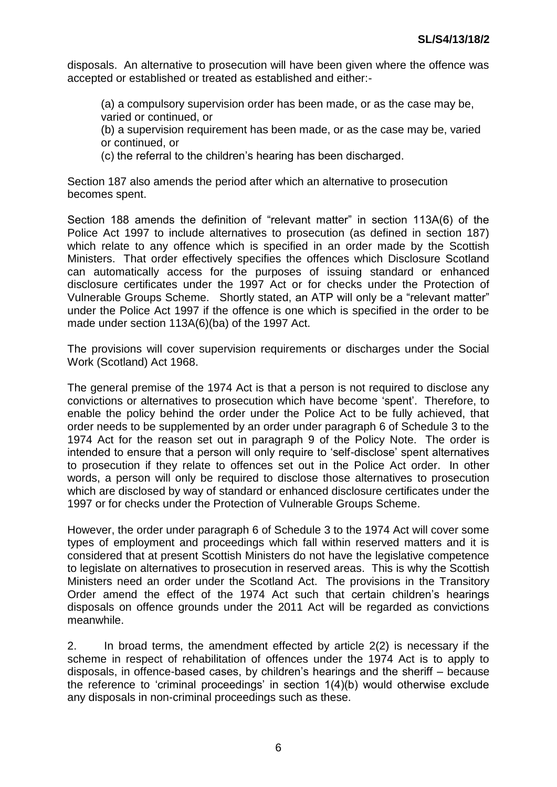disposals. An alternative to prosecution will have been given where the offence was accepted or established or treated as established and either:-

(a) a compulsory supervision order has been made, or as the case may be, varied or continued, or

(b) a supervision requirement has been made, or as the case may be, varied or continued, or

(c) the referral to the children's hearing has been discharged.

Section 187 also amends the period after which an alternative to prosecution becomes spent.

Section 188 amends the definition of "relevant matter" in section 113A(6) of the Police Act 1997 to include alternatives to prosecution (as defined in section 187) which relate to any offence which is specified in an order made by the Scottish Ministers. That order effectively specifies the offences which Disclosure Scotland can automatically access for the purposes of issuing standard or enhanced disclosure certificates under the 1997 Act or for checks under the Protection of Vulnerable Groups Scheme. Shortly stated, an ATP will only be a "relevant matter" under the Police Act 1997 if the offence is one which is specified in the order to be made under section 113A(6)(ba) of the 1997 Act.

The provisions will cover supervision requirements or discharges under the Social Work (Scotland) Act 1968.

The general premise of the 1974 Act is that a person is not required to disclose any convictions or alternatives to prosecution which have become 'spent'. Therefore, to enable the policy behind the order under the Police Act to be fully achieved, that order needs to be supplemented by an order under paragraph 6 of Schedule 3 to the 1974 Act for the reason set out in paragraph 9 of the Policy Note. The order is intended to ensure that a person will only require to 'self-disclose' spent alternatives to prosecution if they relate to offences set out in the Police Act order. In other words, a person will only be required to disclose those alternatives to prosecution which are disclosed by way of standard or enhanced disclosure certificates under the 1997 or for checks under the Protection of Vulnerable Groups Scheme.

However, the order under paragraph 6 of Schedule 3 to the 1974 Act will cover some types of employment and proceedings which fall within reserved matters and it is considered that at present Scottish Ministers do not have the legislative competence to legislate on alternatives to prosecution in reserved areas. This is why the Scottish Ministers need an order under the Scotland Act. The provisions in the Transitory Order amend the effect of the 1974 Act such that certain children's hearings disposals on offence grounds under the 2011 Act will be regarded as convictions meanwhile.

2. In broad terms, the amendment effected by article 2(2) is necessary if the scheme in respect of rehabilitation of offences under the 1974 Act is to apply to disposals, in offence-based cases, by children's hearings and the sheriff – because the reference to 'criminal proceedings' in section 1(4)(b) would otherwise exclude any disposals in non-criminal proceedings such as these.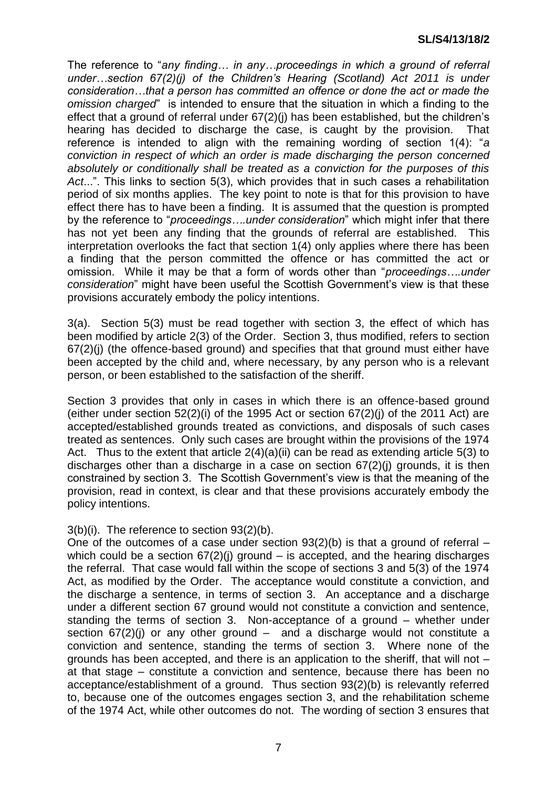The reference to "*any finding… in any…proceedings in which a ground of referral under…section 67(2)(j) of the Children's Hearing (Scotland) Act 2011 is under consideration…that a person has committed an offence or done the act or made the omission charged*" is intended to ensure that the situation in which a finding to the effect that a ground of referral under 67(2)(j) has been established, but the children's hearing has decided to discharge the case, is caught by the provision. That reference is intended to align with the remaining wording of section 1(4): "*a conviction in respect of which an order is made discharging the person concerned absolutely or conditionally shall be treated as a conviction for the purposes of this Act*...". This links to section 5(3), which provides that in such cases a rehabilitation period of six months applies. The key point to note is that for this provision to have effect there has to have been a finding. It is assumed that the question is prompted by the reference to "*proceedings….under consideration*" which might infer that there has not yet been any finding that the grounds of referral are established. This interpretation overlooks the fact that section 1(4) only applies where there has been a finding that the person committed the offence or has committed the act or omission. While it may be that a form of words other than "*proceedings….under consideration*" might have been useful the Scottish Government's view is that these provisions accurately embody the policy intentions.

3(a). Section 5(3) must be read together with section 3, the effect of which has been modified by article 2(3) of the Order. Section 3, thus modified, refers to section 67(2)(j) (the offence-based ground) and specifies that that ground must either have been accepted by the child and, where necessary, by any person who is a relevant person, or been established to the satisfaction of the sheriff.

Section 3 provides that only in cases in which there is an offence-based ground (either under section  $52(2)(i)$  of the 1995 Act or section  $67(2)(i)$  of the 2011 Act) are accepted/established grounds treated as convictions, and disposals of such cases treated as sentences. Only such cases are brought within the provisions of the 1974 Act. Thus to the extent that article  $2(4)(a)(ii)$  can be read as extending article 5(3) to discharges other than a discharge in a case on section 67(2)(j) grounds, it is then constrained by section 3. The Scottish Government's view is that the meaning of the provision, read in context, is clear and that these provisions accurately embody the policy intentions.

## 3(b)(i). The reference to section 93(2)(b).

One of the outcomes of a case under section  $93(2)(b)$  is that a ground of referral – which could be a section  $67(2)(j)$  ground – is accepted, and the hearing discharges the referral. That case would fall within the scope of sections 3 and 5(3) of the 1974 Act, as modified by the Order. The acceptance would constitute a conviction, and the discharge a sentence, in terms of section 3.An acceptance and a discharge under a different section 67 ground would not constitute a conviction and sentence, standing the terms of section 3. Non-acceptance of a ground – whether under section  $67(2)$ (i) or any other ground  $-$  and a discharge would not constitute a conviction and sentence, standing the terms of section 3.Where none of the grounds has been accepted, and there is an application to the sheriff, that will not – at that stage – constitute a conviction and sentence, because there has been no acceptance/establishment of a ground. Thus section 93(2)(b) is relevantly referred to, because one of the outcomes engages section 3, and the rehabilitation scheme of the 1974 Act, while other outcomes do not. The wording of section 3 ensures that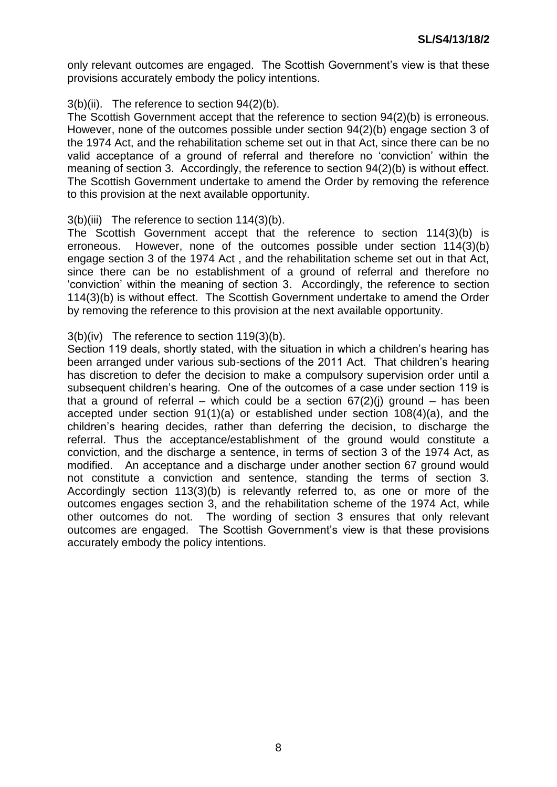only relevant outcomes are engaged.The Scottish Government's view is that these provisions accurately embody the policy intentions.

## 3(b)(ii). The reference to section 94(2)(b).

The Scottish Government accept that the reference to section 94(2)(b) is erroneous. However, none of the outcomes possible under section 94(2)(b) engage section 3 of the 1974 Act, and the rehabilitation scheme set out in that Act, since there can be no valid acceptance of a ground of referral and therefore no 'conviction' within the meaning of section 3. Accordingly, the reference to section 94(2)(b) is without effect. The Scottish Government undertake to amend the Order by removing the reference to this provision at the next available opportunity.

#### 3(b)(iii) The reference to section 114(3)(b).

The Scottish Government accept that the reference to section 114(3)(b) is erroneous. However, none of the outcomes possible under section 114(3)(b) engage section 3 of the 1974 Act , and the rehabilitation scheme set out in that Act, since there can be no establishment of a ground of referral and therefore no 'conviction' within the meaning of section 3. Accordingly, the reference to section 114(3)(b) is without effect. The Scottish Government undertake to amend the Order by removing the reference to this provision at the next available opportunity.

## 3(b)(iv) The reference to section 119(3)(b).

Section 119 deals, shortly stated, with the situation in which a children's hearing has been arranged under various sub-sections of the 2011 Act. That children's hearing has discretion to defer the decision to make a compulsory supervision order until a subsequent children's hearing. One of the outcomes of a case under section 119 is that a ground of referral – which could be a section  $67(2)(i)$  ground – has been accepted under section 91(1)(a) or established under section 108(4)(a), and the children's hearing decides, rather than deferring the decision, to discharge the referral. Thus the acceptance/establishment of the ground would constitute a conviction, and the discharge a sentence, in terms of section 3 of the 1974 Act, as modified. An acceptance and a discharge under another section 67 ground would not constitute a conviction and sentence, standing the terms of section 3. Accordingly section 113(3)(b) is relevantly referred to, as one or more of the outcomes engages section 3, and the rehabilitation scheme of the 1974 Act, while other outcomes do not. The wording of section 3 ensures that only relevant outcomes are engaged.The Scottish Government's view is that these provisions accurately embody the policy intentions.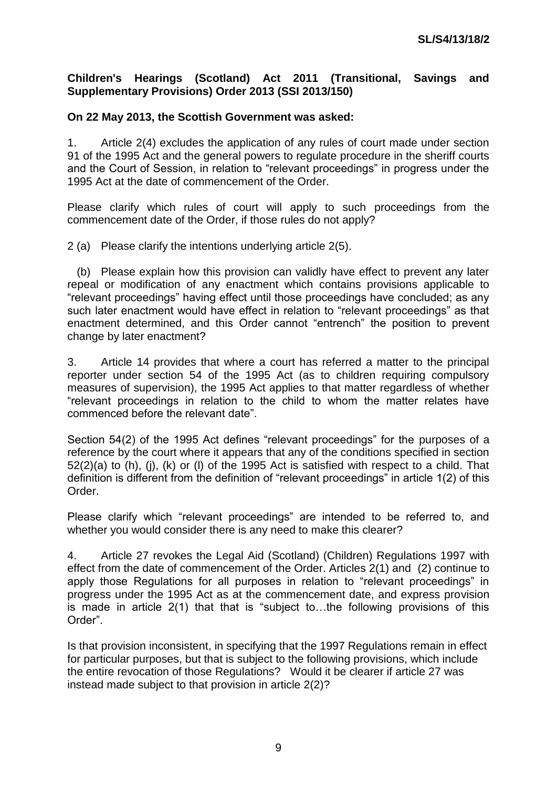## **Children's Hearings (Scotland) Act 2011 (Transitional, Savings and Supplementary Provisions) Order 2013 (SSI 2013/150)**

## **On 22 May 2013, the Scottish Government was asked:**

1. Article 2(4) excludes the application of any rules of court made under section 91 of the 1995 Act and the general powers to regulate procedure in the sheriff courts and the Court of Session, in relation to "relevant proceedings" in progress under the 1995 Act at the date of commencement of the Order.

Please clarify which rules of court will apply to such proceedings from the commencement date of the Order, if those rules do not apply?

2 (a) Please clarify the intentions underlying article 2(5).

 (b) Please explain how this provision can validly have effect to prevent any later repeal or modification of any enactment which contains provisions applicable to "relevant proceedings" having effect until those proceedings have concluded; as any such later enactment would have effect in relation to "relevant proceedings" as that enactment determined, and this Order cannot "entrench" the position to prevent change by later enactment?

3. Article 14 provides that where a court has referred a matter to the principal reporter under section 54 of the 1995 Act (as to children requiring compulsory measures of supervision), the 1995 Act applies to that matter regardless of whether "relevant proceedings in relation to the child to whom the matter relates have commenced before the relevant date".

Section 54(2) of the 1995 Act defines "relevant proceedings" for the purposes of a reference by the court where it appears that any of the conditions specified in section 52(2)(a) to (h), (j), (k) or (l) of the 1995 Act is satisfied with respect to a child. That definition is different from the definition of "relevant proceedings" in article 1(2) of this Order.

Please clarify which "relevant proceedings" are intended to be referred to, and whether you would consider there is any need to make this clearer?

4. Article 27 revokes the Legal Aid (Scotland) (Children) Regulations 1997 with effect from the date of commencement of the Order. Articles 2(1) and (2) continue to apply those Regulations for all purposes in relation to "relevant proceedings" in progress under the 1995 Act as at the commencement date, and express provision is made in article 2(1) that that is "subject to…the following provisions of this Order".

Is that provision inconsistent, in specifying that the 1997 Regulations remain in effect for particular purposes, but that is subject to the following provisions, which include the entire revocation of those Regulations? Would it be clearer if article 27 was instead made subject to that provision in article 2(2)?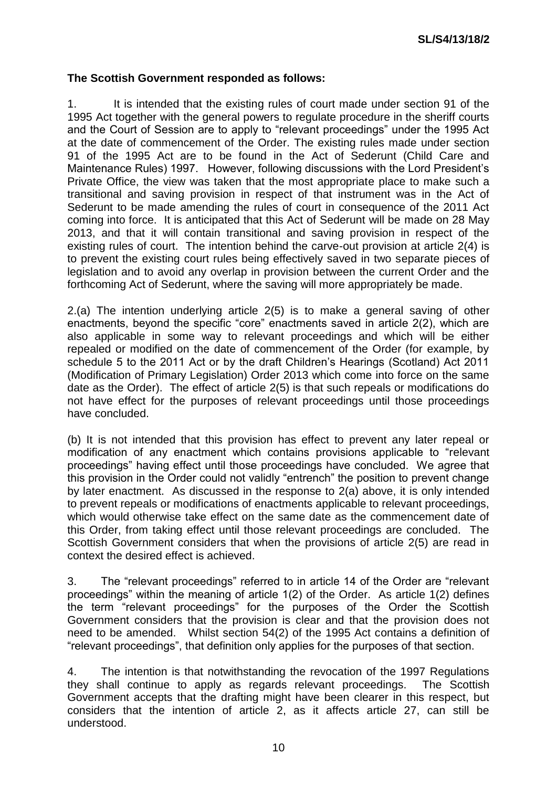## **The Scottish Government responded as follows:**

1. It is intended that the existing rules of court made under section 91 of the 1995 Act together with the general powers to regulate procedure in the sheriff courts and the Court of Session are to apply to "relevant proceedings" under the 1995 Act at the date of commencement of the Order. The existing rules made under section 91 of the 1995 Act are to be found in the Act of Sederunt (Child Care and Maintenance Rules) 1997. However, following discussions with the Lord President's Private Office, the view was taken that the most appropriate place to make such a transitional and saving provision in respect of that instrument was in the Act of Sederunt to be made amending the rules of court in consequence of the 2011 Act coming into force. It is anticipated that this Act of Sederunt will be made on 28 May 2013, and that it will contain transitional and saving provision in respect of the existing rules of court. The intention behind the carve-out provision at article 2(4) is to prevent the existing court rules being effectively saved in two separate pieces of legislation and to avoid any overlap in provision between the current Order and the forthcoming Act of Sederunt, where the saving will more appropriately be made.

2.(a) The intention underlying article 2(5) is to make a general saving of other enactments, beyond the specific "core" enactments saved in article 2(2), which are also applicable in some way to relevant proceedings and which will be either repealed or modified on the date of commencement of the Order (for example, by schedule 5 to the 2011 Act or by the draft Children's Hearings (Scotland) Act 2011 (Modification of Primary Legislation) Order 2013 which come into force on the same date as the Order). The effect of article 2(5) is that such repeals or modifications do not have effect for the purposes of relevant proceedings until those proceedings have concluded.

(b) It is not intended that this provision has effect to prevent any later repeal or modification of any enactment which contains provisions applicable to "relevant proceedings" having effect until those proceedings have concluded. We agree that this provision in the Order could not validly "entrench" the position to prevent change by later enactment. As discussed in the response to 2(a) above, it is only intended to prevent repeals or modifications of enactments applicable to relevant proceedings, which would otherwise take effect on the same date as the commencement date of this Order, from taking effect until those relevant proceedings are concluded. The Scottish Government considers that when the provisions of article 2(5) are read in context the desired effect is achieved.

3. The "relevant proceedings" referred to in article 14 of the Order are "relevant proceedings" within the meaning of article 1(2) of the Order. As article 1(2) defines the term "relevant proceedings" for the purposes of the Order the Scottish Government considers that the provision is clear and that the provision does not need to be amended. Whilst section 54(2) of the 1995 Act contains a definition of "relevant proceedings", that definition only applies for the purposes of that section.

4. The intention is that notwithstanding the revocation of the 1997 Regulations they shall continue to apply as regards relevant proceedings. The Scottish Government accepts that the drafting might have been clearer in this respect, but considers that the intention of article 2, as it affects article 27, can still be understood.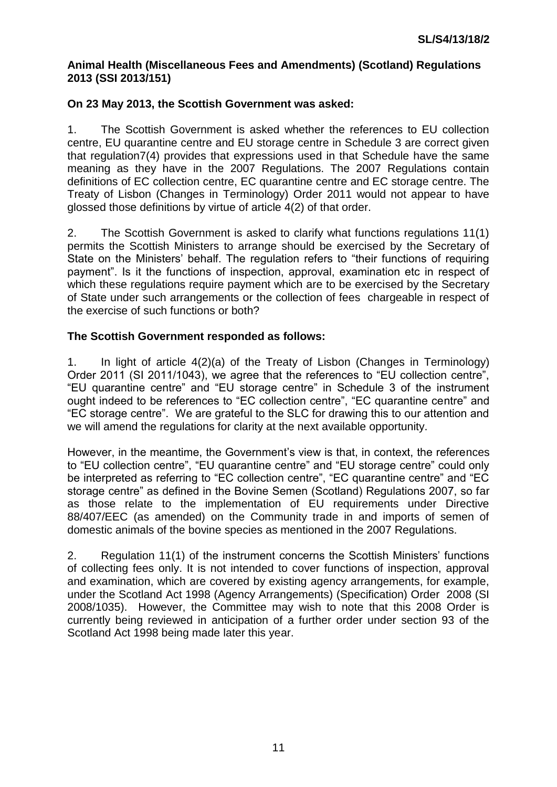## **Animal Health (Miscellaneous Fees and Amendments) (Scotland) Regulations 2013 (SSI 2013/151)**

# **On 23 May 2013, the Scottish Government was asked:**

1. The Scottish Government is asked whether the references to EU collection centre, EU quarantine centre and EU storage centre in Schedule 3 are correct given that regulation7(4) provides that expressions used in that Schedule have the same meaning as they have in the 2007 Regulations. The 2007 Regulations contain definitions of EC collection centre, EC quarantine centre and EC storage centre. The Treaty of Lisbon (Changes in Terminology) Order 2011 would not appear to have glossed those definitions by virtue of article 4(2) of that order.

2. The Scottish Government is asked to clarify what functions regulations 11(1) permits the Scottish Ministers to arrange should be exercised by the Secretary of State on the Ministers' behalf. The regulation refers to "their functions of requiring payment". Is it the functions of inspection, approval, examination etc in respect of which these regulations require payment which are to be exercised by the Secretary of State under such arrangements or the collection of fees chargeable in respect of the exercise of such functions or both?

# **The Scottish Government responded as follows:**

1. In light of article 4(2)(a) of the Treaty of Lisbon (Changes in Terminology) Order 2011 (SI 2011/1043), we agree that the references to "EU collection centre", "EU quarantine centre" and "EU storage centre" in Schedule 3 of the instrument ought indeed to be references to "EC collection centre", "EC quarantine centre" and "EC storage centre". We are grateful to the SLC for drawing this to our attention and we will amend the regulations for clarity at the next available opportunity.

However, in the meantime, the Government's view is that, in context, the references to "EU collection centre", "EU quarantine centre" and "EU storage centre" could only be interpreted as referring to "EC collection centre", "EC quarantine centre" and "EC storage centre" as defined in the Bovine Semen (Scotland) Regulations 2007, so far as those relate to the implementation of EU requirements under Directive 88/407/EEC (as amended) on the Community trade in and imports of semen of domestic animals of the bovine species as mentioned in the 2007 Regulations.

2. Regulation 11(1) of the instrument concerns the Scottish Ministers' functions of collecting fees only. It is not intended to cover functions of inspection, approval and examination, which are covered by existing agency arrangements, for example, under the Scotland Act 1998 (Agency Arrangements) (Specification) Order 2008 (SI 2008/1035). However, the Committee may wish to note that this 2008 Order is currently being reviewed in anticipation of a further order under section 93 of the Scotland Act 1998 being made later this year.